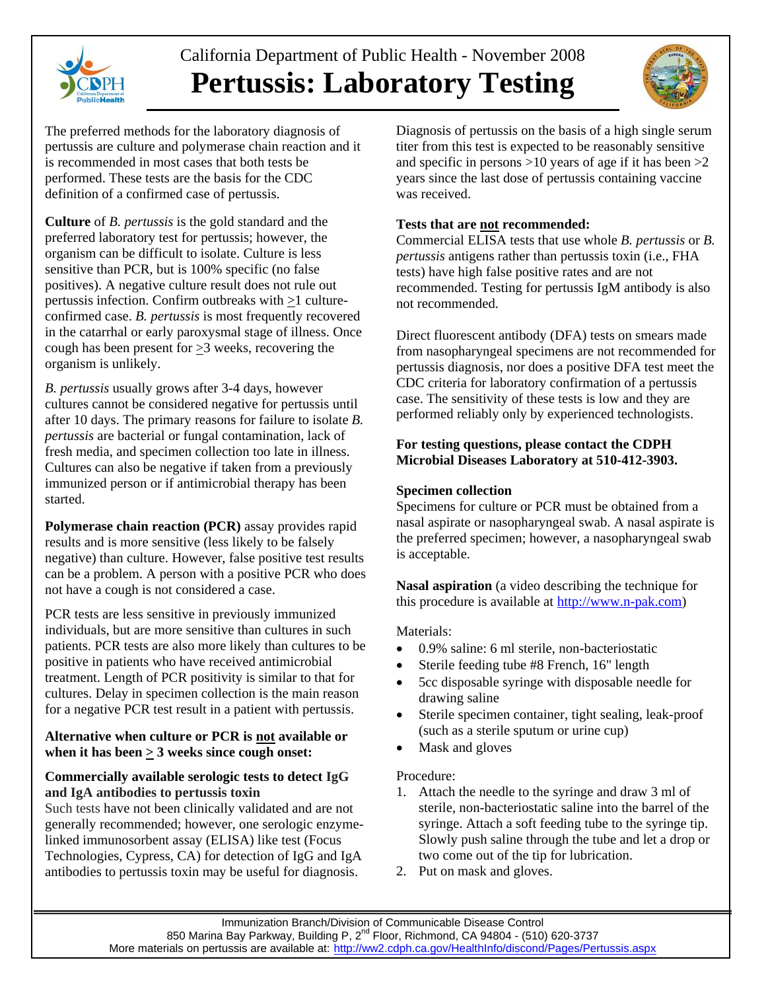

# California Department of Public Health - November 2008 **Pertussis: Laboratory Testing**



The preferred methods for the laboratory diagnosis of pertussis are culture and polymerase chain reaction and it is recommended in most cases that both tests be performed. These tests are the basis for the CDC definition of a confirmed case of pertussis.

**Culture** of *B. pertussis* is the gold standard and the preferred laboratory test for pertussis; however, the organism can be difficult to isolate. Culture is less sensitive than PCR, but is 100% specific (no false positives). A negative culture result does not rule out pertussis infection. Confirm outbreaks with >1 cultureconfirmed case. *B. pertussis* is most frequently recovered in the catarrhal or early paroxysmal stage of illness. Once cough has been present for >3 weeks, recovering the organism is unlikely.

*B. pertussis* usually grows after 3-4 days, however cultures cannot be considered negative for pertussis until after 10 days. The primary reasons for failure to isolate *B. pertussis* are bacterial or fungal contamination, lack of fresh media, and specimen collection too late in illness. Cultures can also be negative if taken from a previously immunized person or if antimicrobial therapy has been started.

**Polymerase chain reaction (PCR)** assay provides rapid results and is more sensitive (less likely to be falsely negative) than culture. However, false positive test results can be a problem. A person with a positive PCR who does not have a cough is not considered a case.

PCR tests are less sensitive in previously immunized individuals, but are more sensitive than cultures in such patients. PCR tests are also more likely than cultures to be positive in patients who have received antimicrobial treatment. Length of PCR positivity is similar to that for cultures. Delay in specimen collection is the main reason for a negative PCR test result in a patient with pertussis.

#### **Alternative when culture or PCR is not available or when it has been > 3 weeks since cough onset:**

## **Commercially available serologic tests to detect IgG and IgA antibodies to pertussis toxin**

Such tests have not been clinically validated and are not generally recommended; however, one serologic enzymelinked immunosorbent assay (ELISA) like test (Focus Technologies, Cypress, CA) for detection of IgG and IgA antibodies to pertussis toxin may be useful for diagnosis.

Diagnosis of pertussis on the basis of a high single serum titer from this test is expected to be reasonably sensitive and specific in persons >10 years of age if it has been >2 years since the last dose of pertussis containing vaccine was received.

## **Tests that are not recommended:**

Commercial ELISA tests that use whole *B. pertussis* or *B. pertussis* antigens rather than pertussis toxin (i.e., FHA tests) have high false positive rates and are not recommended. Testing for pertussis IgM antibody is also not recommended.

Direct fluorescent antibody (DFA) tests on smears made from nasopharyngeal specimens are not recommended for pertussis diagnosis, nor does a positive DFA test meet the CDC criteria for laboratory confirmation of a pertussis case. The sensitivity of these tests is low and they are performed reliably only by experienced technologists.

## **For testing questions, please contact the CDPH Microbial Diseases Laboratory at 510-412-3903.**

## **Specimen collection**

Specimens for culture or PCR must be obtained from a nasal aspirate or nasopharyngeal swab. A nasal aspirate is the preferred specimen; however, a nasopharyngeal swab is acceptable.

**Nasal aspiration** (a video describing the technique for this procedure is available at [http://www.n-pak.com](http://www.n-pak.com/))

## Materials:

- 0.9% saline: 6 ml sterile, non-bacteriostatic
- Sterile feeding tube #8 French, 16" length
- 5cc disposable syringe with disposable needle for drawing saline
- Sterile specimen container, tight sealing, leak-proof (such as a sterile sputum or urine cup)
- Mask and gloves

## Procedure:

- 1. Attach the needle to the syringe and draw 3 ml of sterile, non-bacteriostatic saline into the barrel of the syringe. Attach a soft feeding tube to the syringe tip. Slowly push saline through the tube and let a drop or two come out of the tip for lubrication.
- 2. Put on mask and gloves.